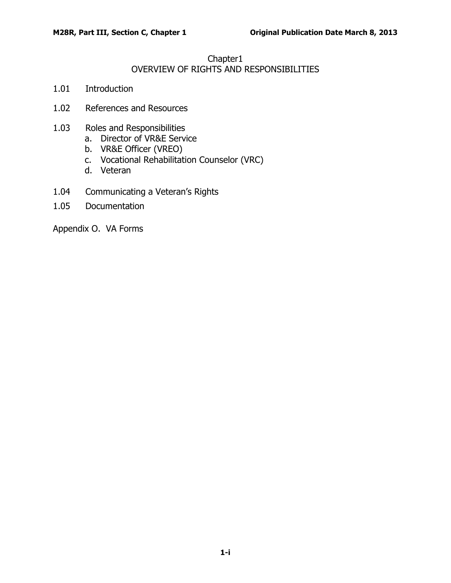## Chapter1 OVERVIEW OF RIGHTS AND RESPONSIBILITIES

- 1.01 [Introduction](#page-1-0)
- 1.02 [References and](#page-1-1) Resources
- 1.03 Roles and [Responsibilities](#page-2-0)
	- a. [Director](#page-2-1) of VR&E Service
	- b. [VR&E Officer \(VREO\)](#page-2-2)
	- c. [Vocational Rehabilitation Counselor \(VRC\)](#page-3-0)
	- d. [Veteran](#page-3-1)
- 1.04 Communicating [a Veteran's Rights](#page-4-0)
- 1.05 [Documentation](#page-4-1)

Appendix O. VA Forms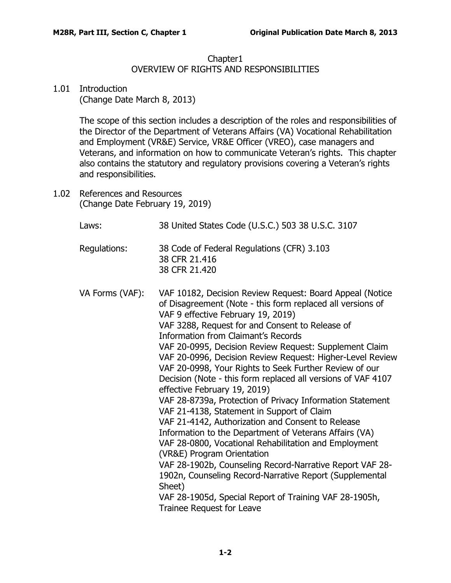## Chapter1 OVERVIEW OF RIGHTS AND RESPONSIBILITIES

## <span id="page-1-0"></span>1.01 Introduction

(Change Date March 8, 2013)

The scope of this section includes a description of the roles and responsibilities of the Director of the Department of Veterans Affairs (VA) Vocational Rehabilitation and Employment (VR&E) Service, VR&E Officer (VREO), case managers and Veterans, and information on how to communicate Veteran's rights. This chapter also contains the statutory and regulatory provisions covering a Veteran's rights and responsibilities.

<span id="page-1-1"></span>1.02 References and Resources (Change Date February 19, 2019)

| Laws:           | 38 United States Code (U.S.C.) 503 38 U.S.C. 3107                                                                                                                                                                                                                                                                                                                                                                                                                                                                                                                                                                                                                                                                                                                                                                                                                                                                                                                                                                                                                                       |
|-----------------|-----------------------------------------------------------------------------------------------------------------------------------------------------------------------------------------------------------------------------------------------------------------------------------------------------------------------------------------------------------------------------------------------------------------------------------------------------------------------------------------------------------------------------------------------------------------------------------------------------------------------------------------------------------------------------------------------------------------------------------------------------------------------------------------------------------------------------------------------------------------------------------------------------------------------------------------------------------------------------------------------------------------------------------------------------------------------------------------|
| Regulations:    | 38 Code of Federal Regulations (CFR) 3.103<br>38 CFR 21.416<br>38 CFR 21.420                                                                                                                                                                                                                                                                                                                                                                                                                                                                                                                                                                                                                                                                                                                                                                                                                                                                                                                                                                                                            |
| VA Forms (VAF): | VAF 10182, Decision Review Request: Board Appeal (Notice<br>of Disagreement (Note - this form replaced all versions of<br>VAF 9 effective February 19, 2019)<br>VAF 3288, Request for and Consent to Release of<br>Information from Claimant's Records<br>VAF 20-0995, Decision Review Request: Supplement Claim<br>VAF 20-0996, Decision Review Request: Higher-Level Review<br>VAF 20-0998, Your Rights to Seek Further Review of our<br>Decision (Note - this form replaced all versions of VAF 4107<br>effective February 19, 2019)<br>VAF 28-8739a, Protection of Privacy Information Statement<br>VAF 21-4138, Statement in Support of Claim<br>VAF 21-4142, Authorization and Consent to Release<br>Information to the Department of Veterans Affairs (VA)<br>VAF 28-0800, Vocational Rehabilitation and Employment<br>(VR&E) Program Orientation<br>VAF 28-1902b, Counseling Record-Narrative Report VAF 28-<br>1902n, Counseling Record-Narrative Report (Supplemental<br>Sheet)<br>VAF 28-1905d, Special Report of Training VAF 28-1905h,<br><b>Trainee Request for Leave</b> |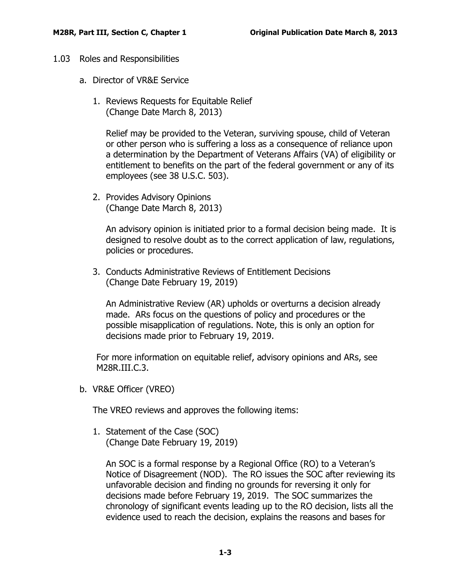- <span id="page-2-1"></span><span id="page-2-0"></span>1.03 Roles and Responsibilities
	- a. Director of VR&E Service
		- 1. Reviews Requests for Equitable Relief (Change Date March 8, 2013)

Relief may be provided to the Veteran, surviving spouse, child of Veteran or other person who is suffering a loss as a consequence of reliance upon a determination by the Department of Veterans Affairs (VA) of eligibility or entitlement to benefits on the part of the federal government or any of its employees (see 38 U.S.C. 503).

2. Provides Advisory Opinions (Change Date March 8, 2013)

An advisory opinion is initiated prior to a formal decision being made. It is designed to resolve doubt as to the correct application of law, regulations, policies or procedures.

3. Conducts Administrative Reviews of Entitlement Decisions (Change Date February 19, 2019)

An Administrative Review (AR) upholds or overturns a decision already made. ARs focus on the questions of policy and procedures or the possible misapplication of regulations. Note, this is only an option for decisions made prior to February 19, 2019.

For more information on equitable relief, advisory opinions and ARs, see M28R.III.C.3.

<span id="page-2-2"></span>b. VR&E Officer (VREO)

The VREO reviews and approves the following items:

1. Statement of the Case (SOC) (Change Date February 19, 2019)

An SOC is a formal response by a Regional Office (RO) to a Veteran's Notice of Disagreement (NOD). The RO issues the SOC after reviewing its unfavorable decision and finding no grounds for reversing it only for decisions made before February 19, 2019. The SOC summarizes the chronology of significant events leading up to the RO decision, lists all the evidence used to reach the decision, explains the reasons and bases for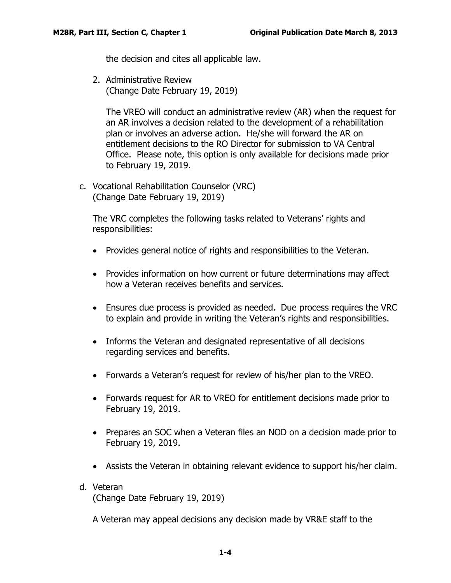the decision and cites all applicable law.

2. Administrative Review (Change Date February 19, 2019)

The VREO will conduct an administrative review (AR) when the request for an AR involves a decision related to the development of a rehabilitation plan or involves an adverse action. He/she will forward the AR on entitlement decisions to the RO Director for submission to VA Central Office. Please note, this option is only available for decisions made prior to February 19, 2019.

<span id="page-3-0"></span>c. Vocational Rehabilitation Counselor (VRC) (Change Date February 19, 2019)

The VRC completes the following tasks related to Veterans' rights and responsibilities:

- Provides general notice of rights and responsibilities to the Veteran.
- Provides information on how current or future determinations may affect how a Veteran receives benefits and services.
- Ensures due process is provided as needed. Due process requires the VRC to explain and provide in writing the Veteran's rights and responsibilities.
- Informs the Veteran and designated representative of all decisions regarding services and benefits.
- Forwards a Veteran's request for review of his/her plan to the VREO.
- Forwards request for AR to VREO for entitlement decisions made prior to February 19, 2019.
- Prepares an SOC when a Veteran files an NOD on a decision made prior to February 19, 2019.
- Assists the Veteran in obtaining relevant evidence to support his/her claim.
- <span id="page-3-1"></span>d. Veteran

(Change Date February 19, 2019)

A Veteran may appeal decisions any decision made by VR&E staff to the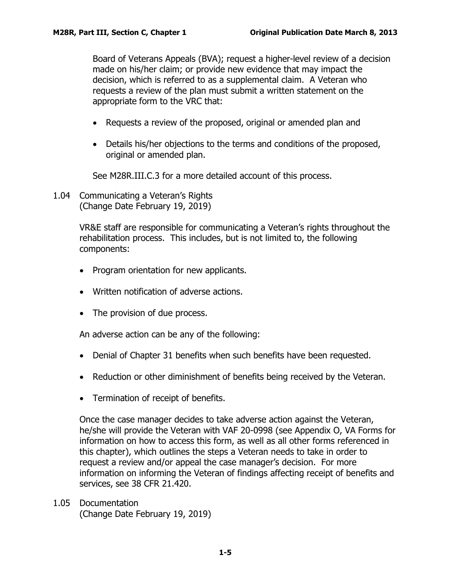Board of Veterans Appeals (BVA); request a higher-level review of a decision made on his/her claim; or provide new evidence that may impact the decision, which is referred to as a supplemental claim. A Veteran who requests a review of the plan must submit a written statement on the appropriate form to the VRC that:

- Requests a review of the proposed, original or amended plan and
- Details his/her objections to the terms and conditions of the proposed, original or amended plan.

See M28R.III.C.3 for a more detailed account of this process.

<span id="page-4-0"></span>1.04 Communicating a Veteran's Rights (Change Date February 19, 2019)

> VR&E staff are responsible for communicating a Veteran's rights throughout the rehabilitation process. This includes, but is not limited to, the following components:

- Program orientation for new applicants.
- Written notification of adverse actions.
- The provision of due process.

An adverse action can be any of the following:

- Denial of Chapter 31 benefits when such benefits have been requested.
- Reduction or other diminishment of benefits being received by the Veteran.
- Termination of receipt of benefits.

Once the case manager decides to take adverse action against the Veteran, he/she will provide the Veteran with VAF 20-0998 (see Appendix O, VA Forms for information on how to access this form, as well as all other forms referenced in this chapter), which outlines the steps a Veteran needs to take in order to request a review and/or appeal the case manager's decision. For more information on informing the Veteran of findings affecting receipt of benefits and services, see 38 CFR 21.420.

<span id="page-4-1"></span>1.05 Documentation (Change Date February 19, 2019)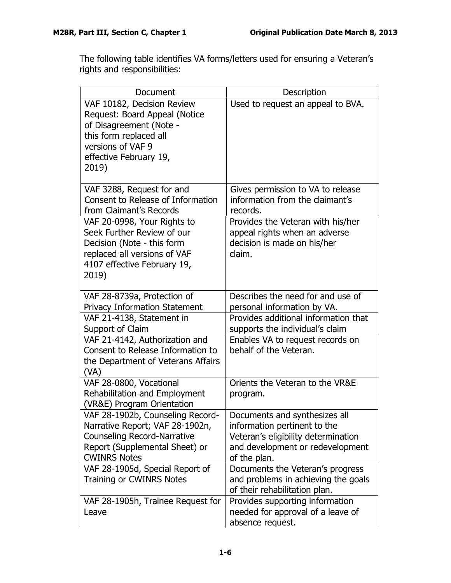The following table identifies VA forms/letters used for ensuring a Veteran's rights and responsibilities:

| Document                                                                                                                                                                                                                                  | Description                                                                                                                                                                                               |
|-------------------------------------------------------------------------------------------------------------------------------------------------------------------------------------------------------------------------------------------|-----------------------------------------------------------------------------------------------------------------------------------------------------------------------------------------------------------|
| VAF 10182, Decision Review<br>Request: Board Appeal (Notice<br>of Disagreement (Note -<br>this form replaced all<br>versions of VAF 9<br>effective February 19,<br>2019)                                                                  | Used to request an appeal to BVA.                                                                                                                                                                         |
| VAF 3288, Request for and<br>Consent to Release of Information<br>from Claimant's Records                                                                                                                                                 | Gives permission to VA to release<br>information from the claimant's<br>records.                                                                                                                          |
| VAF 20-0998, Your Rights to<br>Seek Further Review of our<br>Decision (Note - this form<br>replaced all versions of VAF<br>4107 effective February 19,<br>2019)                                                                           | Provides the Veteran with his/her<br>appeal rights when an adverse<br>decision is made on his/her<br>claim.                                                                                               |
| VAF 28-8739a, Protection of<br><b>Privacy Information Statement</b><br>VAF 21-4138, Statement in<br>Support of Claim<br>VAF 21-4142, Authorization and<br>Consent to Release Information to<br>the Department of Veterans Affairs<br>(VA) | Describes the need for and use of<br>personal information by VA.<br>Provides additional information that<br>supports the individual's claim<br>Enables VA to request records on<br>behalf of the Veteran. |
| VAF 28-0800, Vocational<br>Rehabilitation and Employment<br>(VR&E) Program Orientation                                                                                                                                                    | Orients the Veteran to the VR&E<br>program.                                                                                                                                                               |
| VAF 28-1902b, Counseling Record-<br>Narrative Report; VAF 28-1902n,<br><b>Counseling Record-Narrative</b><br>Report (Supplemental Sheet) or<br><b>CWINRS Notes</b>                                                                        | Documents and synthesizes all<br>information pertinent to the<br>Veteran's eligibility determination<br>and development or redevelopment<br>of the plan.                                                  |
| VAF 28-1905d, Special Report of<br><b>Training or CWINRS Notes</b>                                                                                                                                                                        | Documents the Veteran's progress<br>and problems in achieving the goals<br>of their rehabilitation plan.                                                                                                  |
| VAF 28-1905h, Trainee Request for<br>Leave                                                                                                                                                                                                | Provides supporting information<br>needed for approval of a leave of<br>absence request.                                                                                                                  |